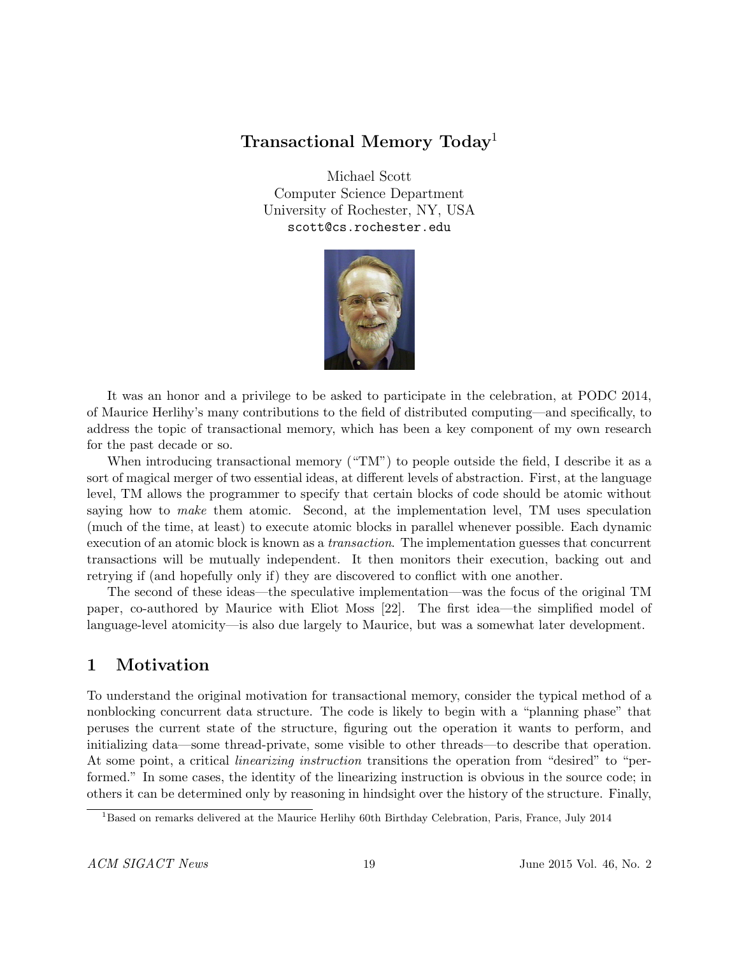# Transactional Memory Today<sup>1</sup>

Michael Scott Computer Science Department University of Rochester, NY, USA scott@cs.rochester.edu



It was an honor and a privilege to be asked to participate in the celebration, at PODC 2014, of Maurice Herlihy's many contributions to the field of distributed computing—and specifically, to address the topic of transactional memory, which has been a key component of my own research for the past decade or so.

When introducing transactional memory ("TM") to people outside the field, I describe it as a sort of magical merger of two essential ideas, at different levels of abstraction. First, at the language level, TM allows the programmer to specify that certain blocks of code should be atomic without saying how to *make* them atomic. Second, at the implementation level, TM uses speculation (much of the time, at least) to execute atomic blocks in parallel whenever possible. Each dynamic execution of an atomic block is known as a *transaction*. The implementation guesses that concurrent transactions will be mutually independent. It then monitors their execution, backing out and retrying if (and hopefully only if) they are discovered to conflict with one another.

The second of these ideas—the speculative implementation—was the focus of the original TM paper, co-authored by Maurice with Eliot Moss [22]. The first idea—the simplified model of language-level atomicity—is also due largely to Maurice, but was a somewhat later development.

# 1 Motivation

To understand the original motivation for transactional memory, consider the typical method of a nonblocking concurrent data structure. The code is likely to begin with a "planning phase" that peruses the current state of the structure, figuring out the operation it wants to perform, and initializing data—some thread-private, some visible to other threads—to describe that operation. At some point, a critical *linearizing instruction* transitions the operation from "desired" to "performed." In some cases, the identity of the linearizing instruction is obvious in the source code; in others it can be determined only by reasoning in hindsight over the history of the structure. Finally,

<sup>1</sup>Based on remarks delivered at the Maurice Herlihy 60th Birthday Celebration, Paris, France, July 2014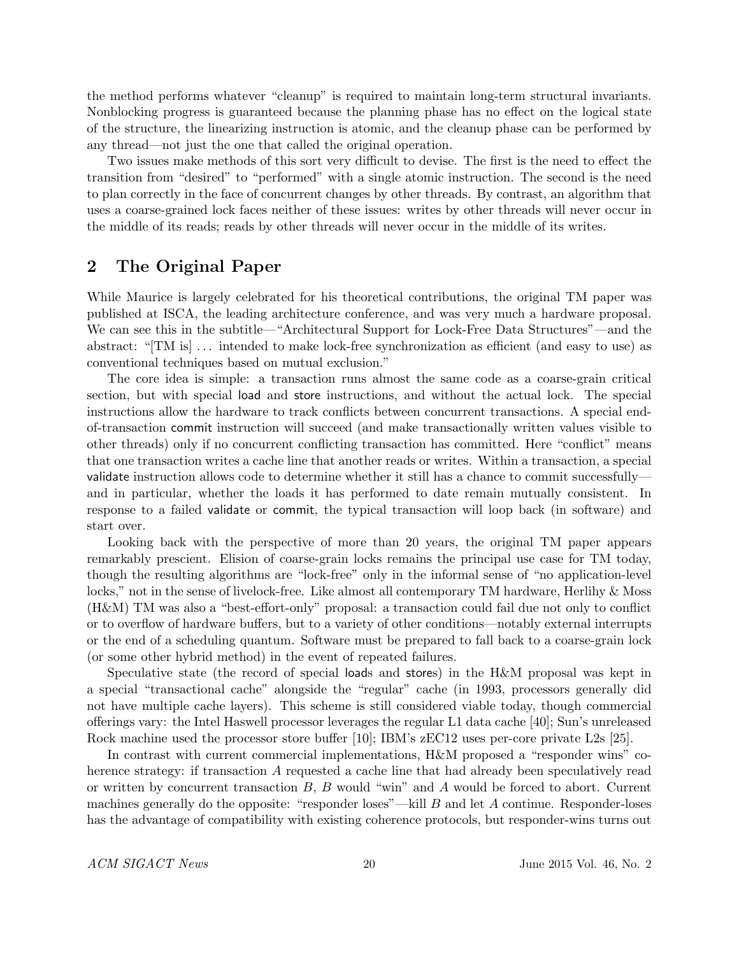the method performs whatever "cleanup" is required to maintain long-term structural invariants. Nonblocking progress is guaranteed because the planning phase has no effect on the logical state of the structure, the linearizing instruction is atomic, and the cleanup phase can be performed by any thread—not just the one that called the original operation.

Two issues make methods of this sort very difficult to devise. The first is the need to effect the transition from "desired" to "performed" with a single atomic instruction. The second is the need to plan correctly in the face of concurrent changes by other threads. By contrast, an algorithm that uses a coarse-grained lock faces neither of these issues: writes by other threads will never occur in the middle of its reads; reads by other threads will never occur in the middle of its writes.

## 2 The Original Paper

While Maurice is largely celebrated for his theoretical contributions, the original TM paper was published at ISCA, the leading architecture conference, and was very much a hardware proposal. We can see this in the subtitle—"Architectural Support for Lock-Free Data Structures"—and the abstract: " $TM$  is  $\ldots$  intended to make lock-free synchronization as efficient (and easy to use) as conventional techniques based on mutual exclusion."

The core idea is simple: a transaction runs almost the same code as a coarse-grain critical section, but with special load and store instructions, and without the actual lock. The special instructions allow the hardware to track conflicts between concurrent transactions. A special endof-transaction commit instruction will succeed (and make transactionally written values visible to other threads) only if no concurrent conflicting transaction has committed. Here "conflict" means that one transaction writes a cache line that another reads or writes. Within a transaction, a special validate instruction allows code to determine whether it still has a chance to commit successfully and in particular, whether the loads it has performed to date remain mutually consistent. In response to a failed validate or commit, the typical transaction will loop back (in software) and start over.

Looking back with the perspective of more than 20 years, the original TM paper appears remarkably prescient. Elision of coarse-grain locks remains the principal use case for TM today, though the resulting algorithms are "lock-free" only in the informal sense of "no application-level locks," not in the sense of livelock-free. Like almost all contemporary TM hardware, Herlihy & Moss  $(H\&M)$  TM was also a "best-effort-only" proposal: a transaction could fail due not only to conflict or to overflow of hardware buffers, but to a variety of other conditions—notably external interrupts or the end of a scheduling quantum. Software must be prepared to fall back to a coarse-grain lock (or some other hybrid method) in the event of repeated failures.

Speculative state (the record of special loads and stores) in the H&M proposal was kept in a special "transactional cache" alongside the "regular" cache (in 1993, processors generally did not have multiple cache layers). This scheme is still considered viable today, though commercial offerings vary: the Intel Haswell processor leverages the regular L1 data cache  $[40]$ ; Sun's unreleased Rock machine used the processor store buffer [10]; IBM's zEC12 uses per-core private L2s [25].

In contrast with current commercial implementations, H&M proposed a "responder wins" coherence strategy: if transaction A requested a cache line that had already been speculatively read or written by concurrent transaction *B*, *B* would "win" and *A* would be forced to abort. Current machines generally do the opposite: "responder loses"—kill *B* and let *A* continue. Responder-loses has the advantage of compatibility with existing coherence protocols, but responder-wins turns out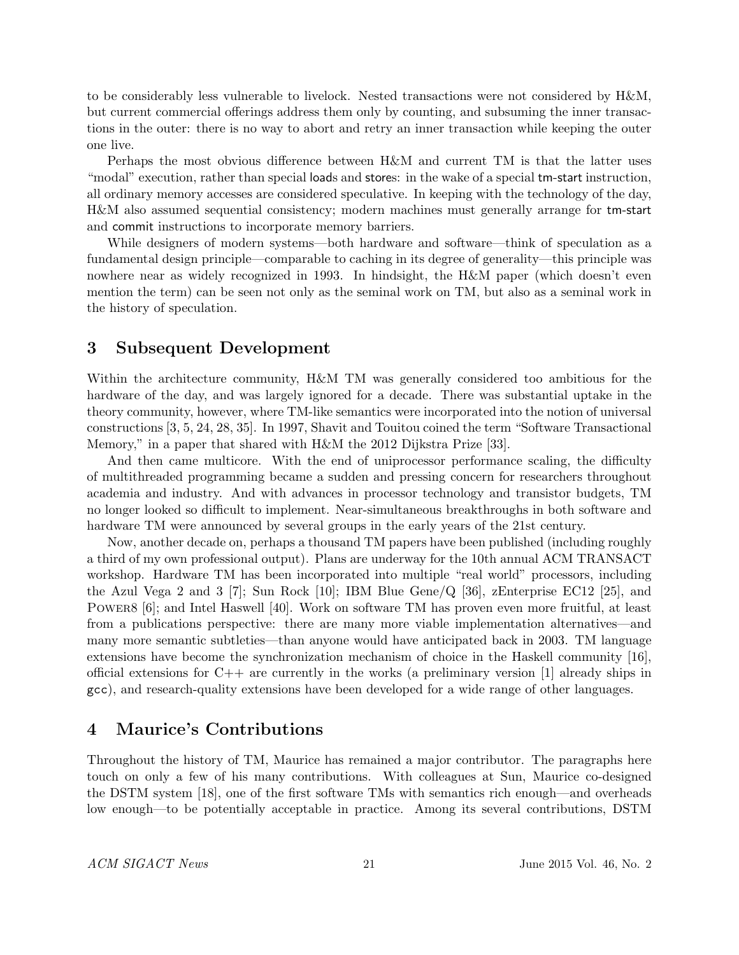to be considerably less vulnerable to livelock. Nested transactions were not considered by H&M, but current commercial offerings address them only by counting, and subsuming the inner transactions in the outer: there is no way to abort and retry an inner transaction while keeping the outer one live.

Perhaps the most obvious difference between H&M and current TM is that the latter uses "modal" execution, rather than special loads and stores: in the wake of a special tm-start instruction, all ordinary memory accesses are considered speculative. In keeping with the technology of the day, H&M also assumed sequential consistency; modern machines must generally arrange for tm-start and commit instructions to incorporate memory barriers.

While designers of modern systems—both hardware and software—think of speculation as a fundamental design principle—comparable to caching in its degree of generality—this principle was nowhere near as widely recognized in 1993. In hindsight, the H&M paper (which doesn't even mention the term) can be seen not only as the seminal work on TM, but also as a seminal work in the history of speculation.

### 3 Subsequent Development

Within the architecture community, H&M TM was generally considered too ambitious for the hardware of the day, and was largely ignored for a decade. There was substantial uptake in the theory community, however, where TM-like semantics were incorporated into the notion of universal constructions [3, 5, 24, 28, 35]. In 1997, Shavit and Touitou coined the term "Software Transactional Memory," in a paper that shared with H&M the 2012 Dijkstra Prize [33].

And then came multicore. With the end of uniprocessor performance scaling, the difficulty of multithreaded programming became a sudden and pressing concern for researchers throughout academia and industry. And with advances in processor technology and transistor budgets, TM no longer looked so difficult to implement. Near-simultaneous breakthroughs in both software and hardware TM were announced by several groups in the early years of the 21st century.

Now, another decade on, perhaps a thousand TM papers have been published (including roughly a third of my own professional output). Plans are underway for the 10th annual ACM TRANSACT workshop. Hardware TM has been incorporated into multiple "real world" processors, including the Azul Vega 2 and 3 [7]; Sun Rock [10]; IBM Blue Gene/Q [36], zEnterprise EC12 [25], and Power8 [6]; and Intel Haswell [40]. Work on software TM has proven even more fruitful, at least from a publications perspective: there are many more viable implementation alternatives—and many more semantic subtleties—than anyone would have anticipated back in 2003. TM language extensions have become the synchronization mechanism of choice in the Haskell community [16], official extensions for  $C++$  are currently in the works (a preliminary version [1] already ships in gcc), and research-quality extensions have been developed for a wide range of other languages.

### 4 Maurice's Contributions

Throughout the history of TM, Maurice has remained a major contributor. The paragraphs here touch on only a few of his many contributions. With colleagues at Sun, Maurice co-designed the DSTM system [18], one of the first software TMs with semantics rich enough—and overheads low enough—to be potentially acceptable in practice. Among its several contributions, DSTM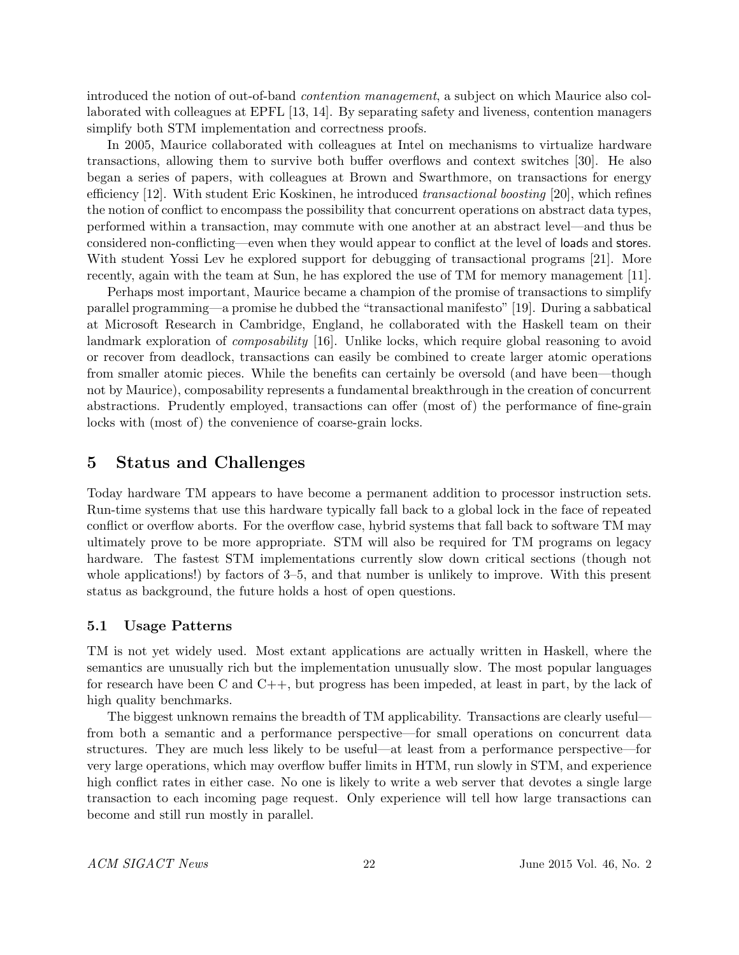introduced the notion of out-of-band *contention management*, a subject on which Maurice also collaborated with colleagues at EPFL [13, 14]. By separating safety and liveness, contention managers simplify both STM implementation and correctness proofs.

In 2005, Maurice collaborated with colleagues at Intel on mechanisms to virtualize hardware transactions, allowing them to survive both buffer overflows and context switches [30]. He also began a series of papers, with colleagues at Brown and Swarthmore, on transactions for energy efficiency [12]. With student Eric Koskinen, he introduced *transactional boosting* [20], which refines the notion of conflict to encompass the possibility that concurrent operations on abstract data types, performed within a transaction, may commute with one another at an abstract level—and thus be considered non-conflicting—even when they would appear to conflict at the level of loads and stores. With student Yossi Lev he explored support for debugging of transactional programs [21]. More recently, again with the team at Sun, he has explored the use of TM for memory management [11].

Perhaps most important, Maurice became a champion of the promise of transactions to simplify parallel programming—a promise he dubbed the "transactional manifesto" [19]. During a sabbatical at Microsoft Research in Cambridge, England, he collaborated with the Haskell team on their landmark exploration of *composability* [16]. Unlike locks, which require global reasoning to avoid or recover from deadlock, transactions can easily be combined to create larger atomic operations from smaller atomic pieces. While the benefits can certainly be oversold (and have been—though not by Maurice), composability represents a fundamental breakthrough in the creation of concurrent abstractions. Prudently employed, transactions can offer (most of) the performance of fine-grain locks with (most of) the convenience of coarse-grain locks.

## 5 Status and Challenges

Today hardware TM appears to have become a permanent addition to processor instruction sets. Run-time systems that use this hardware typically fall back to a global lock in the face of repeated conflict or overflow aborts. For the overflow case, hybrid systems that fall back to software TM may ultimately prove to be more appropriate. STM will also be required for TM programs on legacy hardware. The fastest STM implementations currently slow down critical sections (though not whole applications!) by factors of 3–5, and that number is unlikely to improve. With this present status as background, the future holds a host of open questions.

#### 5.1 Usage Patterns

TM is not yet widely used. Most extant applications are actually written in Haskell, where the semantics are unusually rich but the implementation unusually slow. The most popular languages for research have been C and  $C_{++}$ , but progress has been impeded, at least in part, by the lack of high quality benchmarks.

The biggest unknown remains the breadth of TM applicability. Transactions are clearly useful from both a semantic and a performance perspective—for small operations on concurrent data structures. They are much less likely to be useful—at least from a performance perspective—for very large operations, which may overflow buffer limits in HTM, run slowly in STM, and experience high conflict rates in either case. No one is likely to write a web server that devotes a single large transaction to each incoming page request. Only experience will tell how large transactions can become and still run mostly in parallel.

*ACM SIGACT News* 22 June 2015 Vol. 46, No. 2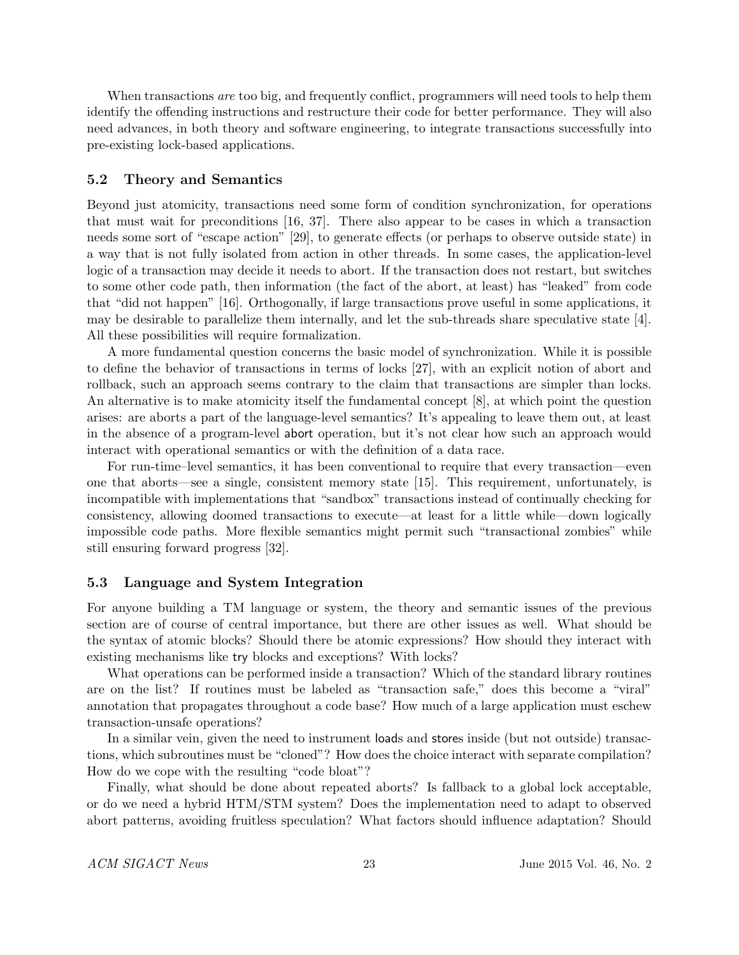When transactions *are* too big, and frequently conflict, programmers will need tools to help them identify the offending instructions and restructure their code for better performance. They will also need advances, in both theory and software engineering, to integrate transactions successfully into pre-existing lock-based applications.

#### 5.2 Theory and Semantics

Beyond just atomicity, transactions need some form of condition synchronization, for operations that must wait for preconditions [16, 37]. There also appear to be cases in which a transaction needs some sort of "escape action" [29], to generate effects (or perhaps to observe outside state) in a way that is not fully isolated from action in other threads. In some cases, the application-level logic of a transaction may decide it needs to abort. If the transaction does not restart, but switches to some other code path, then information (the fact of the abort, at least) has "leaked" from code that "did not happen" [16]. Orthogonally, if large transactions prove useful in some applications, it may be desirable to parallelize them internally, and let the sub-threads share speculative state [4]. All these possibilities will require formalization.

A more fundamental question concerns the basic model of synchronization. While it is possible to define the behavior of transactions in terms of locks [27], with an explicit notion of abort and rollback, such an approach seems contrary to the claim that transactions are simpler than locks. An alternative is to make atomicity itself the fundamental concept [8], at which point the question arises: are aborts a part of the language-level semantics? It's appealing to leave them out, at least in the absence of a program-level abort operation, but it's not clear how such an approach would interact with operational semantics or with the definition of a data race.

For run-time–level semantics, it has been conventional to require that every transaction—even one that aborts—see a single, consistent memory state [15]. This requirement, unfortunately, is incompatible with implementations that "sandbox" transactions instead of continually checking for consistency, allowing doomed transactions to execute—at least for a little while—down logically impossible code paths. More flexible semantics might permit such "transactional zombies" while still ensuring forward progress [32].

#### 5.3 Language and System Integration

For anyone building a TM language or system, the theory and semantic issues of the previous section are of course of central importance, but there are other issues as well. What should be the syntax of atomic blocks? Should there be atomic expressions? How should they interact with existing mechanisms like try blocks and exceptions? With locks?

What operations can be performed inside a transaction? Which of the standard library routines are on the list? If routines must be labeled as "transaction safe," does this become a "viral" annotation that propagates throughout a code base? How much of a large application must eschew transaction-unsafe operations?

In a similar vein, given the need to instrument loads and stores inside (but not outside) transactions, which subroutines must be "cloned"? How does the choice interact with separate compilation? How do we cope with the resulting "code bloat"?

Finally, what should be done about repeated aborts? Is fallback to a global lock acceptable, or do we need a hybrid HTM/STM system? Does the implementation need to adapt to observed abort patterns, avoiding fruitless speculation? What factors should influence adaptation? Should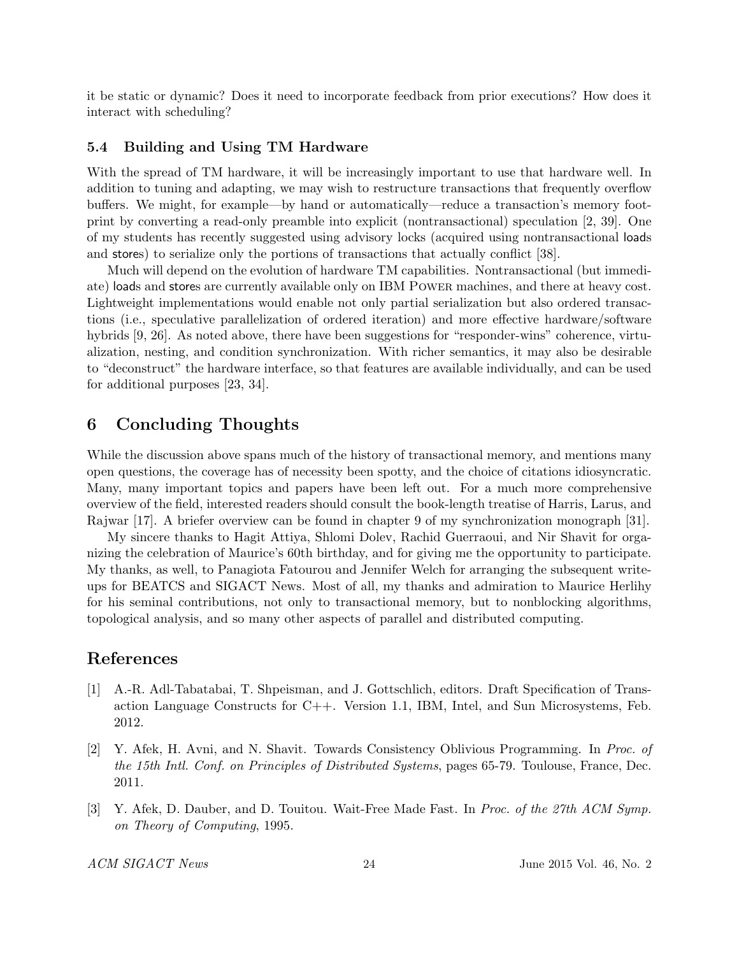it be static or dynamic? Does it need to incorporate feedback from prior executions? How does it interact with scheduling?

#### 5.4 Building and Using TM Hardware

With the spread of TM hardware, it will be increasingly important to use that hardware well. In addition to tuning and adapting, we may wish to restructure transactions that frequently overflow buffers. We might, for example—by hand or automatically—reduce a transaction's memory footprint by converting a read-only preamble into explicit (nontransactional) speculation [2, 39]. One of my students has recently suggested using advisory locks (acquired using nontransactional loads and stores) to serialize only the portions of transactions that actually conflict [38].

Much will depend on the evolution of hardware TM capabilities. Nontransactional (but immediate) loads and stores are currently available only on IBM Power machines, and there at heavy cost. Lightweight implementations would enable not only partial serialization but also ordered transactions (i.e., speculative parallelization of ordered iteration) and more effective hardware/software hybrids [9, 26]. As noted above, there have been suggestions for "responder-wins" coherence, virtualization, nesting, and condition synchronization. With richer semantics, it may also be desirable to "deconstruct" the hardware interface, so that features are available individually, and can be used for additional purposes [23, 34].

## 6 Concluding Thoughts

While the discussion above spans much of the history of transactional memory, and mentions many open questions, the coverage has of necessity been spotty, and the choice of citations idiosyncratic. Many, many important topics and papers have been left out. For a much more comprehensive overview of the field, interested readers should consult the book-length treatise of Harris, Larus, and Rajwar [17]. A briefer overview can be found in chapter 9 of my synchronization monograph [31].

My sincere thanks to Hagit Attiya, Shlomi Dolev, Rachid Guerraoui, and Nir Shavit for organizing the celebration of Maurice's 60th birthday, and for giving me the opportunity to participate. My thanks, as well, to Panagiota Fatourou and Jennifer Welch for arranging the subsequent writeups for BEATCS and SIGACT News. Most of all, my thanks and admiration to Maurice Herlihy for his seminal contributions, not only to transactional memory, but to nonblocking algorithms, topological analysis, and so many other aspects of parallel and distributed computing.

## References

- [1] A.-R. Adl-Tabatabai, T. Shpeisman, and J. Gottschlich, editors. Draft Specification of Transaction Language Constructs for C++. Version 1.1, IBM, Intel, and Sun Microsystems, Feb. 2012.
- [2] Y. Afek, H. Avni, and N. Shavit. Towards Consistency Oblivious Programming. In *Proc. of the 15th Intl. Conf. on Principles of Distributed Systems*, pages 65-79. Toulouse, France, Dec. 2011.
- [3] Y. Afek, D. Dauber, and D. Touitou. Wait-Free Made Fast. In *Proc. of the 27th ACM Symp. on Theory of Computing*, 1995.

*ACM SIGACT News* 24 June 2015 Vol. 46, No. 2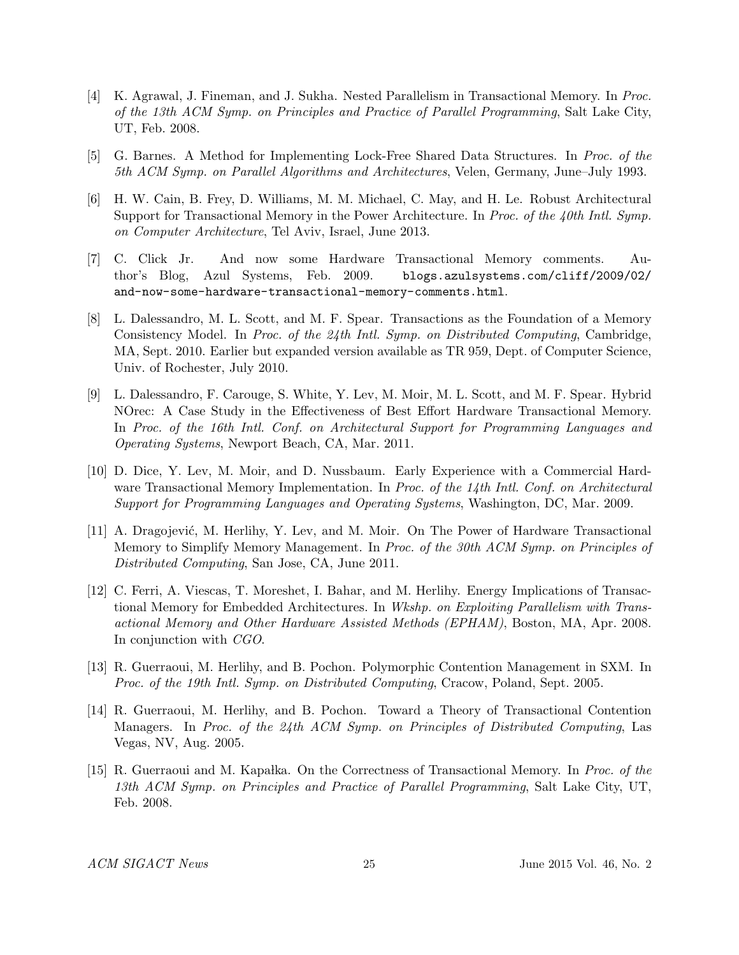- [4] K. Agrawal, J. Fineman, and J. Sukha. Nested Parallelism in Transactional Memory. In *Proc. of the 13th ACM Symp. on Principles and Practice of Parallel Programming*, Salt Lake City, UT, Feb. 2008.
- [5] G. Barnes. A Method for Implementing Lock-Free Shared Data Structures. In *Proc. of the 5th ACM Symp. on Parallel Algorithms and Architectures*, Velen, Germany, June–July 1993.
- [6] H. W. Cain, B. Frey, D. Williams, M. M. Michael, C. May, and H. Le. Robust Architectural Support for Transactional Memory in the Power Architecture. In *Proc. of the 40th Intl. Symp. on Computer Architecture*, Tel Aviv, Israel, June 2013.
- [7] C. Click Jr. And now some Hardware Transactional Memory comments. Author's Blog, Azul Systems, Feb. 2009. blogs.azulsystems.com/cliff/2009/02/ and-now-some-hardware-transactional-memory-comments.html.
- [8] L. Dalessandro, M. L. Scott, and M. F. Spear. Transactions as the Foundation of a Memory Consistency Model. In *Proc. of the 24th Intl. Symp. on Distributed Computing*, Cambridge, MA, Sept. 2010. Earlier but expanded version available as TR 959, Dept. of Computer Science, Univ. of Rochester, July 2010.
- [9] L. Dalessandro, F. Carouge, S. White, Y. Lev, M. Moir, M. L. Scott, and M. F. Spear. Hybrid NOrec: A Case Study in the Effectiveness of Best Effort Hardware Transactional Memory. In *Proc. of the 16th Intl. Conf. on Architectural Support for Programming Languages and Operating Systems*, Newport Beach, CA, Mar. 2011.
- [10] D. Dice, Y. Lev, M. Moir, and D. Nussbaum. Early Experience with a Commercial Hardware Transactional Memory Implementation. In *Proc. of the 14th Intl. Conf. on Architectural Support for Programming Languages and Operating Systems*, Washington, DC, Mar. 2009.
- [11] A. Dragojević, M. Herlihy, Y. Lev, and M. Moir. On The Power of Hardware Transactional Memory to Simplify Memory Management. In *Proc. of the 30th ACM Symp. on Principles of Distributed Computing*, San Jose, CA, June 2011.
- [12] C. Ferri, A. Viescas, T. Moreshet, I. Bahar, and M. Herlihy. Energy Implications of Transactional Memory for Embedded Architectures. In *Wkshp. on Exploiting Parallelism with Transactional Memory and Other Hardware Assisted Methods (EPHAM)*, Boston, MA, Apr. 2008. In conjunction with *CGO*.
- [13] R. Guerraoui, M. Herlihy, and B. Pochon. Polymorphic Contention Management in SXM. In *Proc. of the 19th Intl. Symp. on Distributed Computing*, Cracow, Poland, Sept. 2005.
- [14] R. Guerraoui, M. Herlihy, and B. Pochon. Toward a Theory of Transactional Contention Managers. In *Proc. of the 24th ACM Symp. on Principles of Distributed Computing*, Las Vegas, NV, Aug. 2005.
- [15] R. Guerraoui and M. Kapalka. On the Correctness of Transactional Memory. In *Proc. of the 13th ACM Symp. on Principles and Practice of Parallel Programming*, Salt Lake City, UT, Feb. 2008.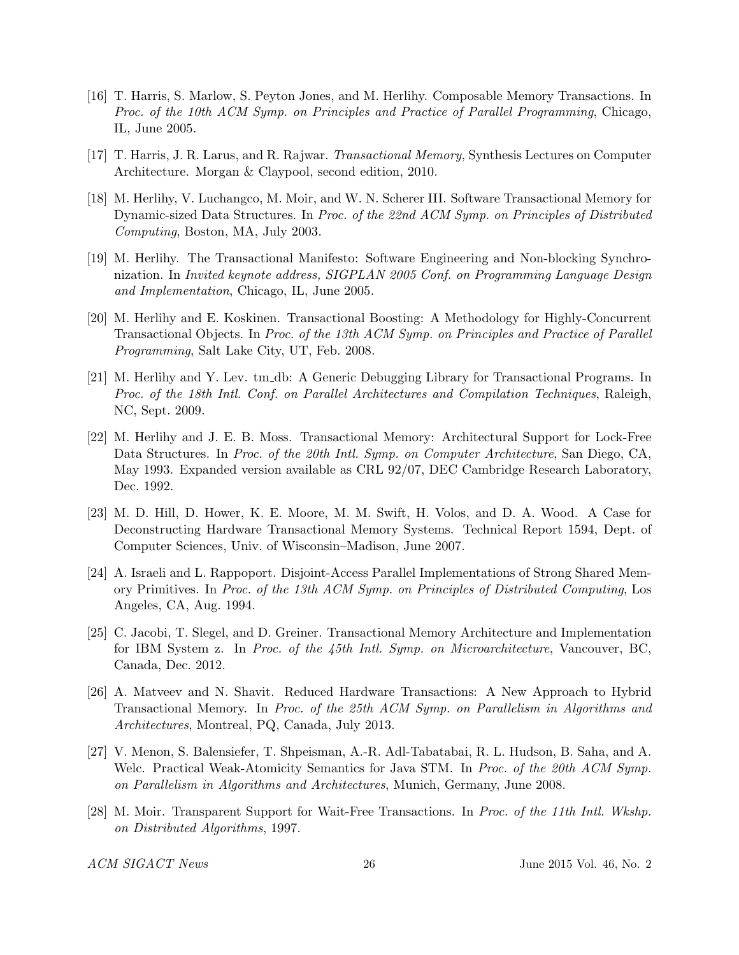- [16] T. Harris, S. Marlow, S. Peyton Jones, and M. Herlihy. Composable Memory Transactions. In *Proc. of the 10th ACM Symp. on Principles and Practice of Parallel Programming*, Chicago, IL, June 2005.
- [17] T. Harris, J. R. Larus, and R. Rajwar. *Transactional Memory*, Synthesis Lectures on Computer Architecture. Morgan & Claypool, second edition, 2010.
- [18] M. Herlihy, V. Luchangco, M. Moir, and W. N. Scherer III. Software Transactional Memory for Dynamic-sized Data Structures. In *Proc. of the 22nd ACM Symp. on Principles of Distributed Computing*, Boston, MA, July 2003.
- [19] M. Herlihy. The Transactional Manifesto: Software Engineering and Non-blocking Synchronization. In *Invited keynote address, SIGPLAN 2005 Conf. on Programming Language Design and Implementation*, Chicago, IL, June 2005.
- [20] M. Herlihy and E. Koskinen. Transactional Boosting: A Methodology for Highly-Concurrent Transactional Objects. In *Proc. of the 13th ACM Symp. on Principles and Practice of Parallel Programming*, Salt Lake City, UT, Feb. 2008.
- [21] M. Herlihy and Y. Lev. tm db: A Generic Debugging Library for Transactional Programs. In *Proc. of the 18th Intl. Conf. on Parallel Architectures and Compilation Techniques*, Raleigh, NC, Sept. 2009.
- [22] M. Herlihy and J. E. B. Moss. Transactional Memory: Architectural Support for Lock-Free Data Structures. In *Proc. of the 20th Intl. Symp. on Computer Architecture*, San Diego, CA, May 1993. Expanded version available as CRL 92/07, DEC Cambridge Research Laboratory, Dec. 1992.
- [23] M. D. Hill, D. Hower, K. E. Moore, M. M. Swift, H. Volos, and D. A. Wood. A Case for Deconstructing Hardware Transactional Memory Systems. Technical Report 1594, Dept. of Computer Sciences, Univ. of Wisconsin–Madison, June 2007.
- [24] A. Israeli and L. Rappoport. Disjoint-Access Parallel Implementations of Strong Shared Memory Primitives. In *Proc. of the 13th ACM Symp. on Principles of Distributed Computing*, Los Angeles, CA, Aug. 1994.
- [25] C. Jacobi, T. Slegel, and D. Greiner. Transactional Memory Architecture and Implementation for IBM System z. In *Proc. of the 45th Intl. Symp. on Microarchitecture*, Vancouver, BC, Canada, Dec. 2012.
- [26] A. Matveev and N. Shavit. Reduced Hardware Transactions: A New Approach to Hybrid Transactional Memory. In *Proc. of the 25th ACM Symp. on Parallelism in Algorithms and Architectures*, Montreal, PQ, Canada, July 2013.
- [27] V. Menon, S. Balensiefer, T. Shpeisman, A.-R. Adl-Tabatabai, R. L. Hudson, B. Saha, and A. Welc. Practical Weak-Atomicity Semantics for Java STM. In *Proc. of the 20th ACM Symp. on Parallelism in Algorithms and Architectures*, Munich, Germany, June 2008.
- [28] M. Moir. Transparent Support for Wait-Free Transactions. In *Proc. of the 11th Intl. Wkshp. on Distributed Algorithms*, 1997.

*ACM SIGACT News* 26 June 2015 Vol. 46, No. 2